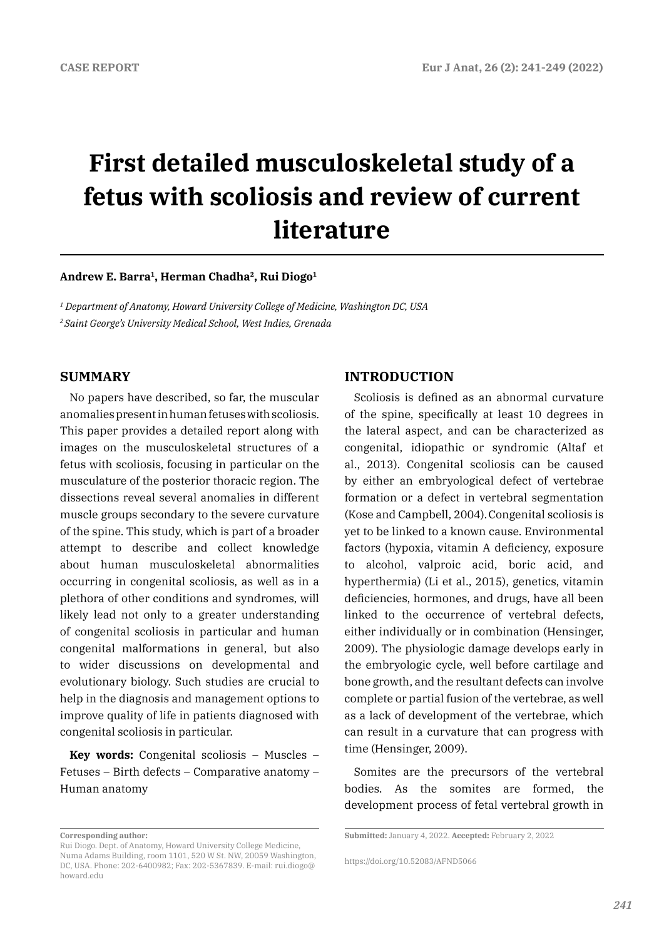# **First detailed musculoskeletal study of a fetus with scoliosis and review of current literature**

## **Andrew E. Barra1, Herman Chadha2, Rui Diogo1**

*1 Department of Anatomy, Howard University College of Medicine, Washington DC, USA 2 Saint George's University Medical School, West Indies, Grenada*

# **SUMMARY**

No papers have described, so far, the muscular anomalies present in human fetuses with scoliosis. This paper provides a detailed report along with images on the musculoskeletal structures of a fetus with scoliosis, focusing in particular on the musculature of the posterior thoracic region. The dissections reveal several anomalies in different muscle groups secondary to the severe curvature of the spine. This study, which is part of a broader attempt to describe and collect knowledge about human musculoskeletal abnormalities occurring in congenital scoliosis, as well as in a plethora of other conditions and syndromes, will likely lead not only to a greater understanding of congenital scoliosis in particular and human congenital malformations in general, but also to wider discussions on developmental and evolutionary biology. Such studies are crucial to help in the diagnosis and management options to improve quality of life in patients diagnosed with congenital scoliosis in particular.

**Key words:** Congenital scoliosis – Muscles – Fetuses – Birth defects – Comparative anatomy – Human anatomy

# **INTRODUCTION**

Scoliosis is defined as an abnormal curvature of the spine, specifically at least 10 degrees in the lateral aspect, and can be characterized as congenital, idiopathic or syndromic (Altaf et al., 2013). Congenital scoliosis can be caused by either an embryological defect of vertebrae formation or a defect in vertebral segmentation (Kose and Campbell, 2004).Congenital scoliosis is yet to be linked to a known cause. Environmental factors (hypoxia, vitamin A deficiency, exposure to alcohol, valproic acid, boric acid, and hyperthermia) (Li et al., 2015), genetics, vitamin deficiencies, hormones, and drugs, have all been linked to the occurrence of vertebral defects, either individually or in combination (Hensinger, 2009). The physiologic damage develops early in the embryologic cycle, well before cartilage and bone growth, and the resultant defects can involve complete or partial fusion of the vertebrae, as well as a lack of development of the vertebrae, which can result in a curvature that can progress with time (Hensinger, 2009).

Somites are the precursors of the vertebral bodies. As the somites are formed, the development process of fetal vertebral growth in

**Corresponding author:** 

Rui Diogo. Dept. of Anatomy, Howard University College Medicine, Numa Adams Building, room 1101, 520 W St. NW, 20059 Washington, DC, USA. Phone: 202-6400982; Fax: 202-5367839. E-mail: rui.diogo@ howard.edu

**Submitted:** January 4, 2022. **Accepted:** February 2, 2022

https://doi.org/10.52083/AFND5066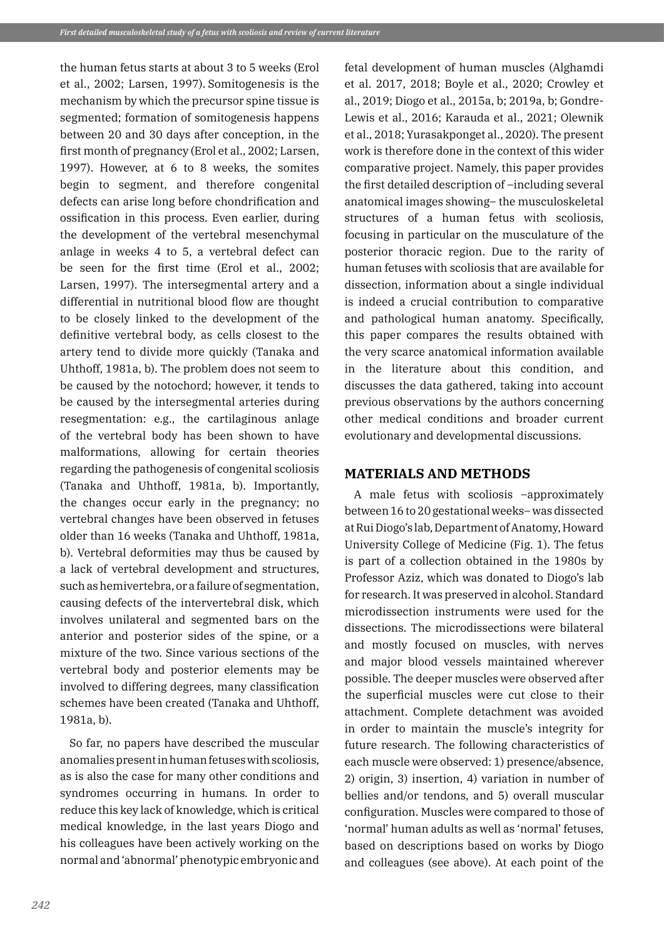the human fetus starts at about 3 to 5 weeks (Erol et al., 2002; Larsen, 1997). Somitogenesis is the mechanism by which the precursor spine tissue is segmented; formation of somitogenesis happens between 20 and 30 days after conception, in the first month of pregnancy (Erol et al., 2002; Larsen, 1997). However, at 6 to 8 weeks, the somites begin to segment, and therefore congenital defects can arise long before chondrification and ossification in this process. Even earlier, during the development of the vertebral mesenchymal anlage in weeks 4 to 5, a vertebral defect can be seen for the first time (Erol et al., 2002; Larsen, 1997). The intersegmental artery and a differential in nutritional blood flow are thought to be closely linked to the development of the definitive vertebral body, as cells closest to the artery tend to divide more quickly (Tanaka and Uhthoff, 1981a, b). The problem does not seem to be caused by the notochord; however, it tends to be caused by the intersegmental arteries during resegmentation: e.g., the cartilaginous anlage of the vertebral body has been shown to have malformations, allowing for certain theories regarding the pathogenesis of congenital scoliosis (Tanaka and Uhthoff, 1981a, b). Importantly, the changes occur early in the pregnancy; no vertebral changes have been observed in fetuses older than 16 weeks (Tanaka and Uhthoff, 1981a, b). Vertebral deformities may thus be caused by a lack of vertebral development and structures, such as hemivertebra, or a failure of segmentation, causing defects of the intervertebral disk, which involves unilateral and segmented bars on the anterior and posterior sides of the spine, or a mixture of the two. Since various sections of the vertebral body and posterior elements may be involved to differing degrees, many classification schemes have been created (Tanaka and Uhthoff, 1981a, b).

So far, no papers have described the muscular anomalies present in human fetuses with scoliosis, as is also the case for many other conditions and syndromes occurring in humans. In order to reduce this key lack of knowledge, which is critical medical knowledge, in the last years Diogo and his colleagues have been actively working on the normal and 'abnormal' phenotypic embryonic and

fetal development of human muscles (Alghamdi et al. 2017, 2018; Boyle et al., 2020; Crowley et al., 2019; Diogo et al., 2015a, b; 2019a, b; Gondre-Lewis et al., 2016; Karauda et al., 2021; Olewnik et al., 2018; Yurasakponget al., 2020). The present work is therefore done in the context of this wider comparative project. Namely, this paper provides the first detailed description of –including several anatomical images showing– the musculoskeletal structures of a human fetus with scoliosis, focusing in particular on the musculature of the posterior thoracic region. Due to the rarity of human fetuses with scoliosis that are available for dissection, information about a single individual is indeed a crucial contribution to comparative and pathological human anatomy. Specifically, this paper compares the results obtained with the very scarce anatomical information available in the literature about this condition, and discusses the data gathered, taking into account previous observations by the authors concerning other medical conditions and broader current evolutionary and developmental discussions.

# **MATERIALS AND METHODS**

A male fetus with scoliosis –approximately between 16 to 20 gestational weeks– was dissected at Rui Diogo's lab, Department of Anatomy, Howard University College of Medicine (Fig. 1). The fetus is part of a collection obtained in the 1980s by Professor Aziz, which was donated to Diogo's lab for research. It was preserved in alcohol. Standard microdissection instruments were used for the dissections. The microdissections were bilateral and mostly focused on muscles, with nerves and major blood vessels maintained wherever possible. The deeper muscles were observed after the superficial muscles were cut close to their attachment. Complete detachment was avoided in order to maintain the muscle's integrity for future research. The following characteristics of each muscle were observed: 1) presence/absence, 2) origin, 3) insertion, 4) variation in number of bellies and/or tendons, and 5) overall muscular configuration. Muscles were compared to those of 'normal' human adults as well as 'normal' fetuses, based on descriptions based on works by Diogo and colleagues (see above). At each point of the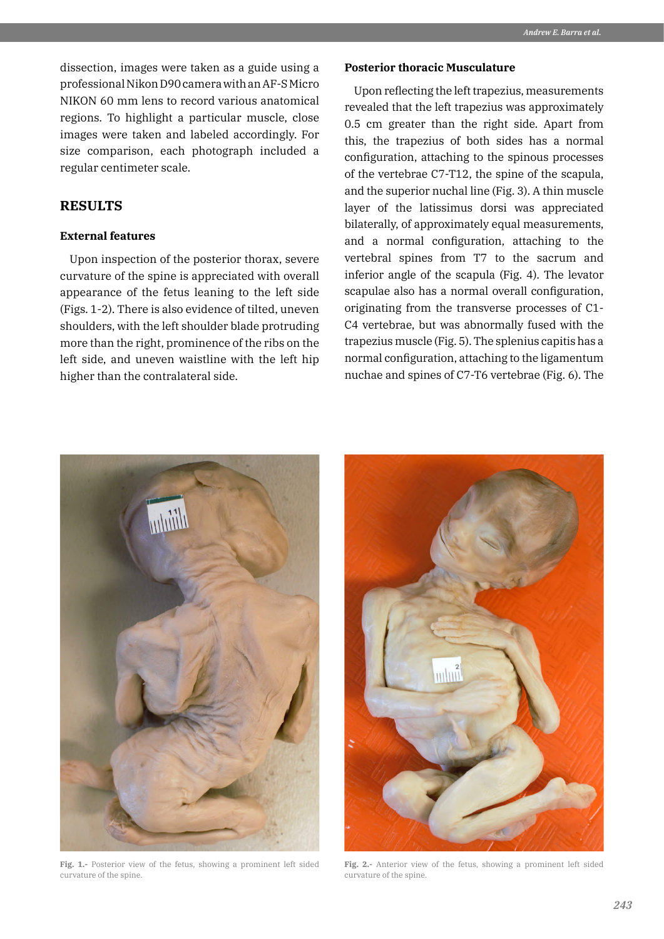dissection, images were taken as a guide using a professional Nikon D90 camera with an AF-S Micro NIKON 60 mm lens to record various anatomical regions. To highlight a particular muscle, close images were taken and labeled accordingly. For size comparison, each photograph included a regular centimeter scale.

## **RESULTS**

#### **External features**

Upon inspection of the posterior thorax, severe curvature of the spine is appreciated with overall appearance of the fetus leaning to the left side (Figs. 1-2). There is also evidence of tilted, uneven shoulders, with the left shoulder blade protruding more than the right, prominence of the ribs on the left side, and uneven waistline with the left hip higher than the contralateral side.

## **Posterior thoracic Musculature**

Upon reflecting the left trapezius, measurements revealed that the left trapezius was approximately 0.5 cm greater than the right side. Apart from this, the trapezius of both sides has a normal configuration, attaching to the spinous processes of the vertebrae C7-T12, the spine of the scapula, and the superior nuchal line (Fig. 3). A thin muscle layer of the latissimus dorsi was appreciated bilaterally, of approximately equal measurements, and a normal configuration, attaching to the vertebral spines from T7 to the sacrum and inferior angle of the scapula (Fig. 4). The levator scapulae also has a normal overall configuration, originating from the transverse processes of C1- C4 vertebrae, but was abnormally fused with the trapezius muscle (Fig. 5). The splenius capitis has a normal configuration, attaching to the ligamentum nuchae and spines of C7-T6 vertebrae (Fig. 6). The



**Fig. 1.-** Posterior view of the fetus, showing a prominent left sided curvature of the spine.



**Fig. 2.-** Anterior view of the fetus, showing a prominent left sided curvature of the spine.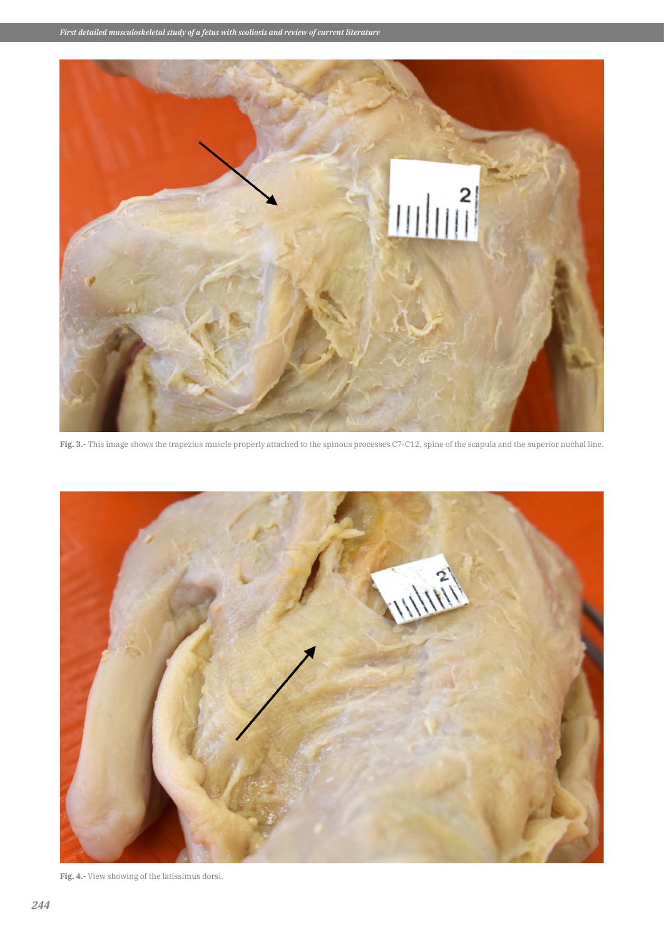

**Fig. 3.-** This image shows the trapezius muscle properly attached to the spinous processes C7-C12, spine of the scapula and the superior nuchal line.



**Fig. 4.-** View showing of the latissimus dorsi.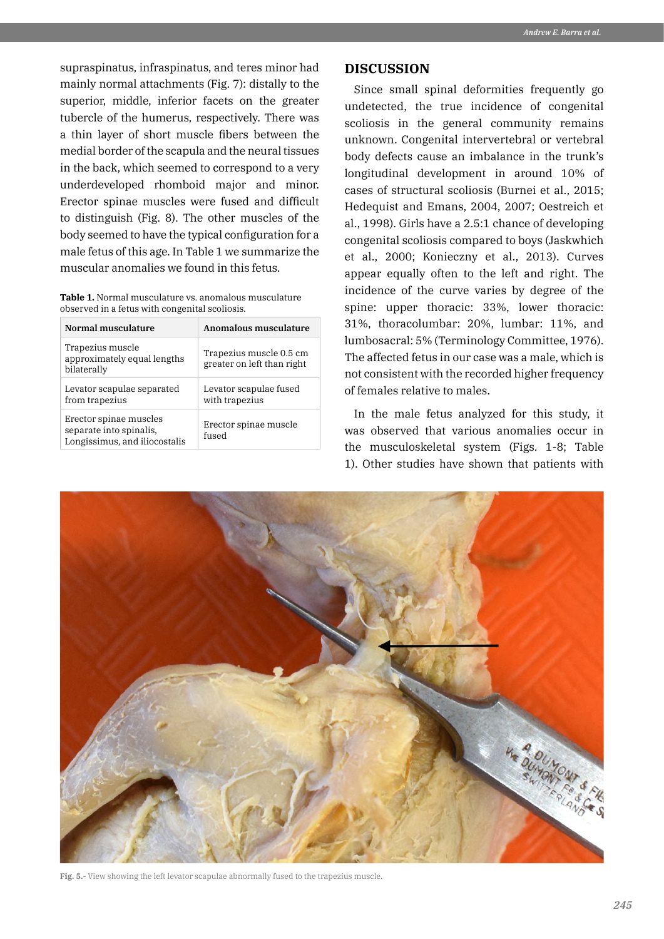supraspinatus, infraspinatus, and teres minor had mainly normal attachments (Fig. 7): distally to the superior, middle, inferior facets on the greater tubercle of the humerus, respectively. There was a thin layer of short muscle fibers between the medial border of the scapula and the neural tissues in the back, which seemed to correspond to a very underdeveloped rhomboid major and minor. Erector spinae muscles were fused and difficult to distinguish (Fig. 8). The other muscles of the body seemed to have the typical configuration for a male fetus of this age. In Table 1 we summarize the muscular anomalies we found in this fetus.

**Table 1.** Normal musculature vs. anomalous musculature observed in a fetus with congenital scoliosis.

| Normal musculature                                                                 | Anomalous musculature                                 |
|------------------------------------------------------------------------------------|-------------------------------------------------------|
| Trapezius muscle<br>approximately equal lengths<br>bilaterally                     | Trapezius muscle 0.5 cm<br>greater on left than right |
| Levator scapulae separated<br>from trapezius                                       | Levator scapulae fused<br>with trapezius              |
| Erector spinae muscles<br>separate into spinalis,<br>Longissimus, and iliocostalis | Erector spinae muscle<br>fused                        |

## **DISCUSSION**

Since small spinal deformities frequently go undetected, the true incidence of congenital scoliosis in the general community remains unknown. Congenital intervertebral or vertebral body defects cause an imbalance in the trunk's longitudinal development in around 10% of cases of structural scoliosis (Burnei et al., 2015; Hedequist and Emans, 2004, 2007; Oestreich et al., 1998). Girls have a 2.5:1 chance of developing congenital scoliosis compared to boys (Jaskwhich et al., 2000; Konieczny et al., 2013). Curves appear equally often to the left and right. The incidence of the curve varies by degree of the spine: upper thoracic: 33%, lower thoracic: 31%, thoracolumbar: 20%, lumbar: 11%, and lumbosacral: 5% (Terminology Committee, 1976). The affected fetus in our case was a male, which is not consistent with the recorded higher frequency of females relative to males.

In the male fetus analyzed for this study, it was observed that various anomalies occur in the musculoskeletal system (Figs. 1-8; Table 1). Other studies have shown that patients with



**Fig. 5.-** View showing the left levator scapulae abnormally fused to the trapezius muscle.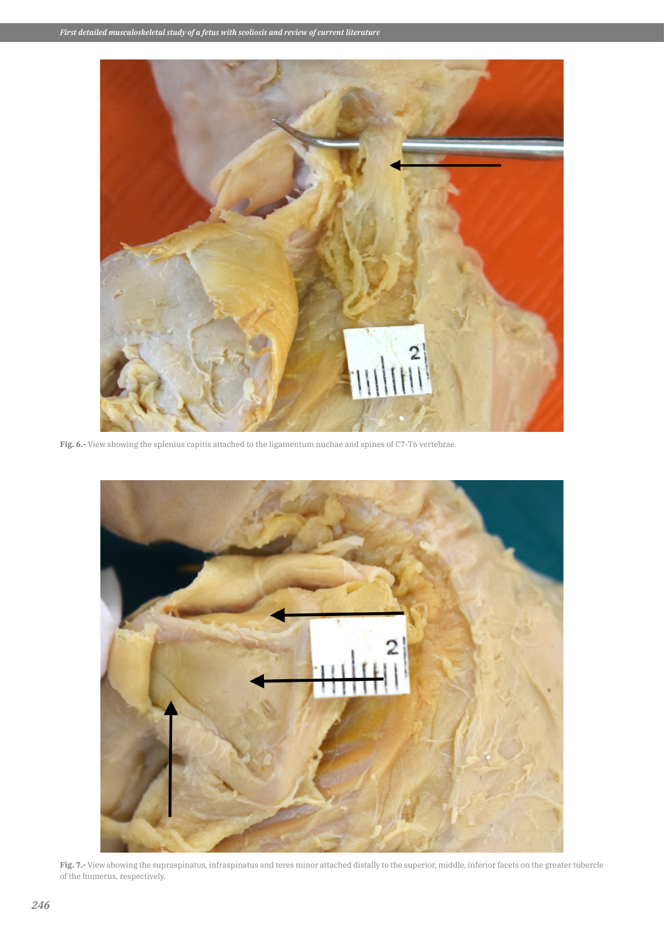

**Fig. 6.-** View showing the splenius capitis attached to the ligamentum nuchae and spines of C7-T6 vertebrae.



**Fig. 7.-** View showing the supraspinatus, infraspinatus and teres minor attached distally to the superior, middle, inferior facets on the greater tubercle of the humerus, respectively.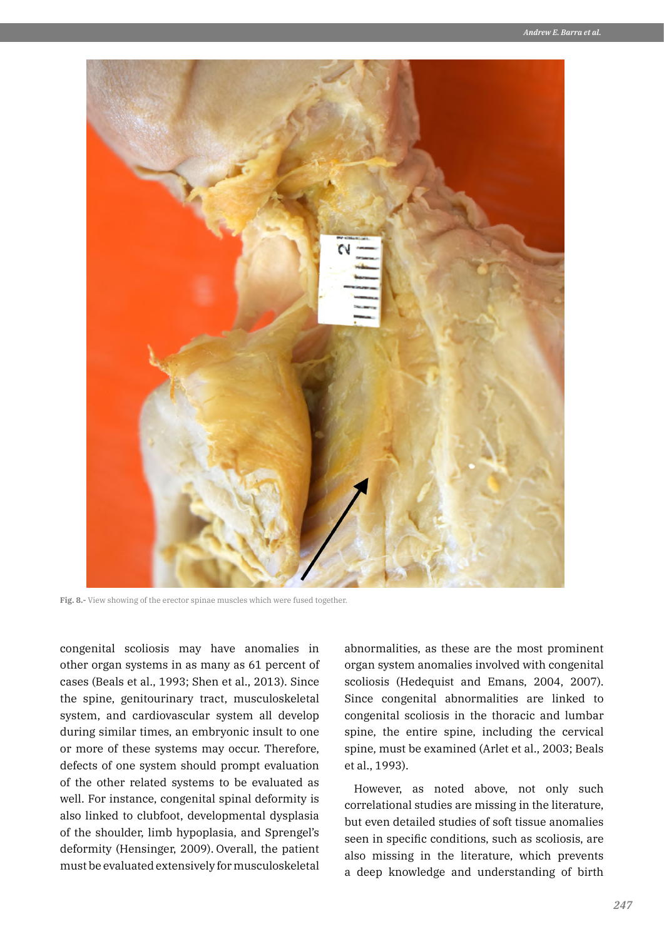

**Fig. 8.-** View showing of the erector spinae muscles which were fused together.

congenital scoliosis may have anomalies in other organ systems in as many as 61 percent of cases (Beals et al., 1993; Shen et al., 2013). Since the spine, genitourinary tract, musculoskeletal system, and cardiovascular system all develop during similar times, an embryonic insult to one or more of these systems may occur. Therefore, defects of one system should prompt evaluation of the other related systems to be evaluated as well. For instance, congenital spinal deformity is also linked to clubfoot, developmental dysplasia of the shoulder, limb hypoplasia, and Sprengel's deformity (Hensinger, 2009). Overall, the patient must be evaluated extensively for musculoskeletal abnormalities, as these are the most prominent organ system anomalies involved with congenital scoliosis (Hedequist and Emans, 2004, 2007). Since congenital abnormalities are linked to congenital scoliosis in the thoracic and lumbar spine, the entire spine, including the cervical spine, must be examined (Arlet et al., 2003; Beals et al., 1993).

However, as noted above, not only such correlational studies are missing in the literature, but even detailed studies of soft tissue anomalies seen in specific conditions, such as scoliosis, are also missing in the literature, which prevents a deep knowledge and understanding of birth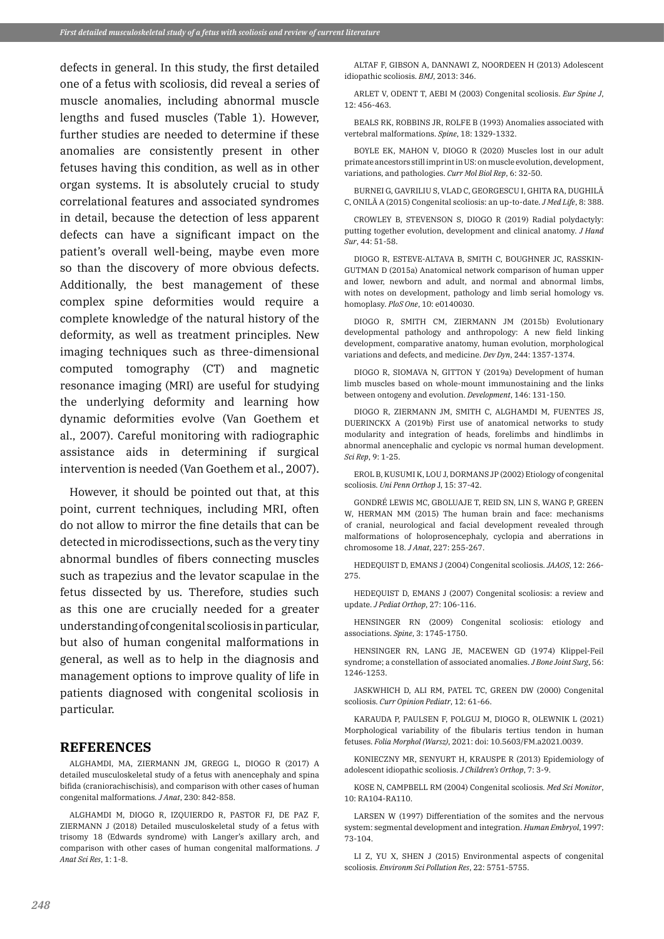defects in general. In this study, the first detailed one of a fetus with scoliosis, did reveal a series of muscle anomalies, including abnormal muscle lengths and fused muscles (Table 1). However, further studies are needed to determine if these anomalies are consistently present in other fetuses having this condition, as well as in other organ systems. It is absolutely crucial to study correlational features and associated syndromes in detail, because the detection of less apparent defects can have a significant impact on the patient's overall well-being, maybe even more so than the discovery of more obvious defects. Additionally, the best management of these complex spine deformities would require a complete knowledge of the natural history of the deformity, as well as treatment principles. New imaging techniques such as three-dimensional computed tomography (CT) and magnetic resonance imaging (MRI) are useful for studying the underlying deformity and learning how dynamic deformities evolve (Van Goethem et al., 2007). Careful monitoring with radiographic assistance aids in determining if surgical intervention is needed (Van Goethem et al., 2007).

However, it should be pointed out that, at this point, current techniques, including MRI, often do not allow to mirror the fine details that can be detected in microdissections, such as the very tiny abnormal bundles of fibers connecting muscles such as trapezius and the levator scapulae in the fetus dissected by us. Therefore, studies such as this one are crucially needed for a greater understanding of congenital scoliosis in particular, but also of human congenital malformations in general, as well as to help in the diagnosis and management options to improve quality of life in patients diagnosed with congenital scoliosis in particular.

#### **REFERENCES**

ALGHAMDI, MA, ZIERMANN JM, GREGG L, DIOGO R (2017) A detailed musculoskeletal study of a fetus with anencephaly and spina bifida (craniorachischisis), and comparison with other cases of human congenital malformations. *J Anat*, 230: 842-858.

ALGHAMDI M, DIOGO R, IZQUIERDO R, PASTOR FJ, DE PAZ F, ZIERMANN J (2018) Detailed musculoskeletal study of a fetus with trisomy 18 (Edwards syndrome) with Langer's axillary arch, and comparison with other cases of human congenital malformations. *J Anat Sci Res*, 1: 1-8.

ALTAF F, GIBSON A, DANNAWI Z, NOORDEEN H (2013) Adolescent idiopathic scoliosis. *BMJ*, 2013: 346.

ARLET V, ODENT T, AEBI M (2003) Congenital scoliosis. *Eur Spine J*, 12: 456-463.

BEALS RK, ROBBINS JR, ROLFE B (1993) Anomalies associated with vertebral malformations. *Spine*, 18: 1329-1332.

BOYLE EK, MAHON V, DIOGO R (2020) Muscles lost in our adult primate ancestors still imprint in US: on muscle evolution, development, variations, and pathologies. *Curr Mol Biol Rep*, 6: 32-50.

BURNEI G, GAVRILIU S, VLAD C, GEORGESCU I, GHITA RA, DUGHILĂ C, ONILĂ A (2015) Congenital scoliosis: an up-to-date. *J Med Life*, 8: 388.

CROWLEY B, STEVENSON S, DIOGO R (2019) Radial polydactyly: putting together evolution, development and clinical anatomy. *J Hand Sur*, 44: 51-58.

DIOGO R, ESTEVE-ALTAVA B, SMITH C, BOUGHNER JC, RASSKIN-GUTMAN D (2015a) Anatomical network comparison of human upper and lower, newborn and adult, and normal and abnormal limbs, with notes on development, pathology and limb serial homology vs. homoplasy. *PloS One*, 10: e0140030.

DIOGO R, SMITH CM, ZIERMANN JM (2015b) Evolutionary developmental pathology and anthropology: A new field linking development, comparative anatomy, human evolution, morphological variations and defects, and medicine. *Dev Dyn*, 244: 1357-1374.

DIOGO R, SIOMAVA N, GITTON Y (2019a) Development of human limb muscles based on whole-mount immunostaining and the links between ontogeny and evolution. *Development*, 146: 131-150.

DIOGO R, ZIERMANN JM, SMITH C, ALGHAMDI M, FUENTES JS, DUERINCKX A (2019b) First use of anatomical networks to study modularity and integration of heads, forelimbs and hindlimbs in abnormal anencephalic and cyclopic vs normal human development. *Sci Rep*, 9: 1-25.

EROL B, KUSUMI K, LOU J, DORMANS JP (2002) Etiology of congenital scoliosis. *Uni Penn Orthop* J, 15: 37-42.

GONDRÉ LEWIS MC, GBOLUAJE T, REID SN, LIN S, WANG P, GREEN W, HERMAN MM (2015) The human brain and face: mechanisms of cranial, neurological and facial development revealed through malformations of holoprosencephaly, cyclopia and aberrations in chromosome 18. *J Anat*, 227: 255-267.

HEDEQUIST D, EMANS J (2004) Congenital scoliosis. *JAAOS*, 12: 266- 275.

HEDEQUIST D, EMANS J (2007) Congenital scoliosis: a review and update. *J Pediat Orthop*, 27: 106-116.

HENSINGER RN (2009) Congenital scoliosis: etiology and associations. *Spine*, 3: 1745-1750.

HENSINGER RN, LANG JE, MACEWEN GD (1974) Klippel-Feil syndrome; a constellation of associated anomalies. *J Bone Joint Surg*, 56: 1246-1253.

JASKWHICH D, ALI RM, PATEL TC, GREEN DW (2000) Congenital scoliosis. *Curr Opinion Pediatr*, 12: 61-66.

KARAUDA P, PAULSEN F, POLGUJ M, DIOGO R, OLEWNIK L (2021) Morphological variability of the fibularis tertius tendon in human fetuses. *Folia Morphol (Warsz)*, 2021: doi: 10.5603/FM.a2021.0039.

KONIECZNY MR, SENYURT H, KRAUSPE R (2013) Epidemiology of adolescent idiopathic scoliosis. *J Children's Orthop*, 7: 3-9.

KOSE N, CAMPBELL RM (2004) Congenital scoliosis. *Med Sci Monitor*, 10: RA104-RA110.

LARSEN W (1997) Differentiation of the somites and the nervous system: segmental development and integration. *Human Embryol*, 1997: 73-104.

LI Z, YU X, SHEN J (2015) Environmental aspects of congenital scoliosis. *Environm Sci Pollution Res*, 22: 5751-5755.